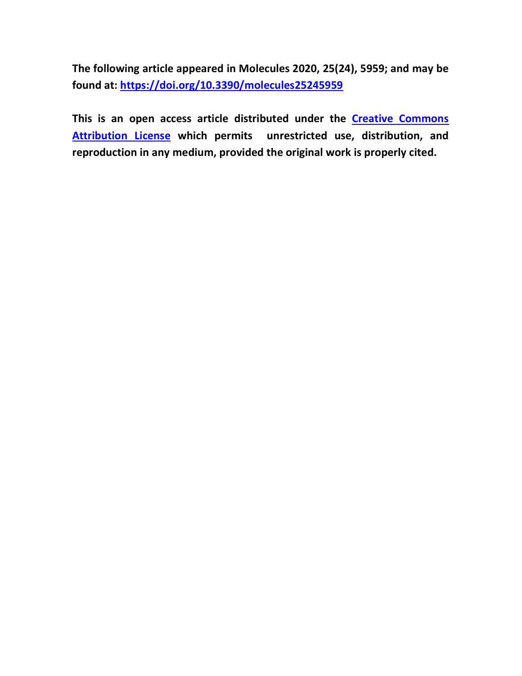**The following article appeared in Molecules 2020, 25(24), 5959; and may be found at: https://doi.org/10.3390/molecules25245959**

**This is an open access article distributed under the Creative Commons Attribution License which permits unrestricted use, distribution, and reproduction in any medium, provided the original work is properly cited.**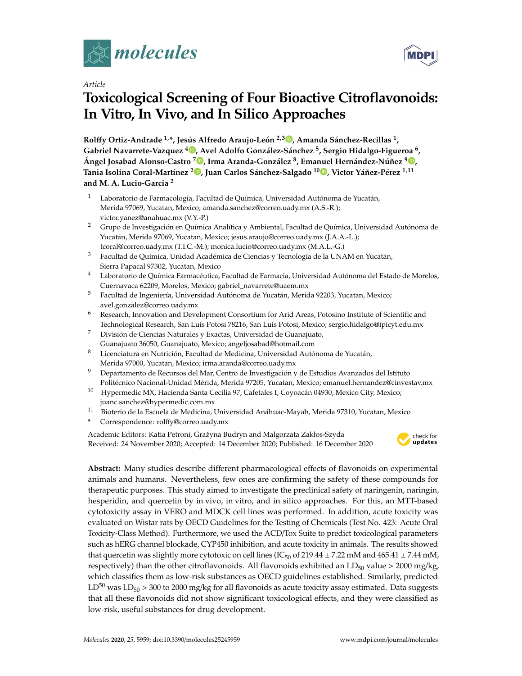



# **Toxicological Screening of Four Bioactive Citroflavonoids: In Vitro, In Vivo, and In Silico Approaches**

**Rol**↵**y Ortiz-Andrade 1,\*, Jesús Alfredo Araujo-León 2,3 , Amanda Sánchez-Recillas 1, Gabriel Navarrete-Vazquez <sup>4</sup> , Avel Adolfo González-Sánchez 5, Sergio Hidalgo-Figueroa 6, Ángel Josabad Alonso-Castro <sup>7</sup> , Irma Aranda-González 8, Emanuel Hernández-Núñez <sup>9</sup> , Tania Isolina Coral-Martínez <sup>2</sup> , Juan Carlos Sánchez-Salgado <sup>10</sup> , Victor Yáñez-Pérez 1,11 and M. A. Lucio-Garcia <sup>2</sup>**

- <sup>1</sup> Laboratorio de Farmacología, Facultad de Química, Universidad Autónoma de Yucatán, Merida 97069, Yucatan, Mexico; amanda.sanchez@correo.uady.mx (A.S.-R.); victor.yanez@anahuac.mx (V.Y.-P.)
- <sup>2</sup> Grupo de Investigación en Química Analítica y Ambiental, Facultad de Química, Universidad Autónoma de Yucatán, Merida 97069, Yucatan, Mexico; jesus.araujo@correo.uady.mx (J.A.A.-L.); tcoral@correo.uady.mx (T.I.C.-M.); monica.lucio@correo.uady.mx (M.A.L.-G.)
- <sup>3</sup> Facultad de Química, Unidad Académica de Ciencias y Tecnología de la UNAM en Yucatán, Sierra Papacal 97302, Yucatan, Mexico
- <sup>4</sup> Laboratorio de Química Farmacéutica, Facultad de Farmacia, Universidad Autónoma del Estado de Morelos, Cuernavaca 62209, Morelos, Mexico; gabriel\_navarrete@uaem.mx
- <sup>5</sup> Facultad de Ingeniería, Universidad Autónoma de Yucatán, Merida 92203, Yucatan, Mexico; avel.gonzalez@correo.uady.mx
- <sup>6</sup> Research, Innovation and Development Consortium for Arid Areas, Potosino Institute of Scientific and Technological Research, San Luis Potosi 78216, San Luis Potosi, Mexico; sergio.hidalgo@ipicyt.edu.mx
- <sup>7</sup> División de Ciencias Naturales y Exactas, Universidad de Guanajuato, Guanajuato 36050, Guanajuato, Mexico; angeljosabad@hotmail.com
- <sup>8</sup> Licenciatura en Nutrición, Facultad de Medicina, Universidad Autónoma de Yucatán, Merida 97000, Yucatan, Mexico; irma.aranda@correo.uady.mx
- <sup>9</sup> Departamento de Recursos del Mar, Centro de Investigación y de Estudios Avanzados del Istituto Politécnico Nacional-Unidad Mérida, Merida 97205, Yucatan, Mexico; emanuel.hernandez@cinvestav.mx
- <sup>10</sup> Hypermedic MX, Hacienda Santa Cecilia 97, Cafetales I, Coyoacán 04930, Mexico City, Mexico; juanc.sanchez@hypermedic.com.mx
- <sup>11</sup> Bioterio de la Escuela de Medicina, Universidad Anáhuac-Mayab, Merida 97310, Yucatan, Mexico
- **\*** Correspondence: rol↵y@correo.uady.mx

Academic Editors: Katia Petroni, Grażyna Budryn and Malgorzata Zakłos-Szyda Received: 24 November 2020; Accepted: 14 December 2020; Published: 16 December 2020



**MDP** 

Abstract: Many studies describe different pharmacological effects of flavonoids on experimental animals and humans. Nevertheless, few ones are confirming the safety of these compounds for therapeutic purposes. This study aimed to investigate the preclinical safety of naringenin, naringin, hesperidin, and quercetin by in vivo, in vitro, and in silico approaches. For this, an MTT-based cytotoxicity assay in VERO and MDCK cell lines was performed. In addition, acute toxicity was evaluated on Wistar rats by OECD Guidelines for the Testing of Chemicals (Test No. 423: Acute Oral Toxicity-Class Method). Furthermore, we used the ACD/Tox Suite to predict toxicological parameters such as hERG channel blockade, CYP450 inhibition, and acute toxicity in animals. The results showed that quercetin was slightly more cytotoxic on cell lines (IC<sub>50</sub> of 219.44  $\pm$  7.22 mM and 465.41  $\pm$  7.44 mM, respectively) than the other citroflavonoids. All flavonoids exhibited an  $LD_{50}$  value > 2000 mg/kg, which classifies them as low-risk substances as OECD guidelines established. Similarly, predicted  $LD^{50}$  was  $LD_{50} > 300$  to 2000 mg/kg for all flavonoids as acute toxicity assay estimated. Data suggests that all these flavonoids did not show significant toxicological effects, and they were classified as low-risk, useful substances for drug development.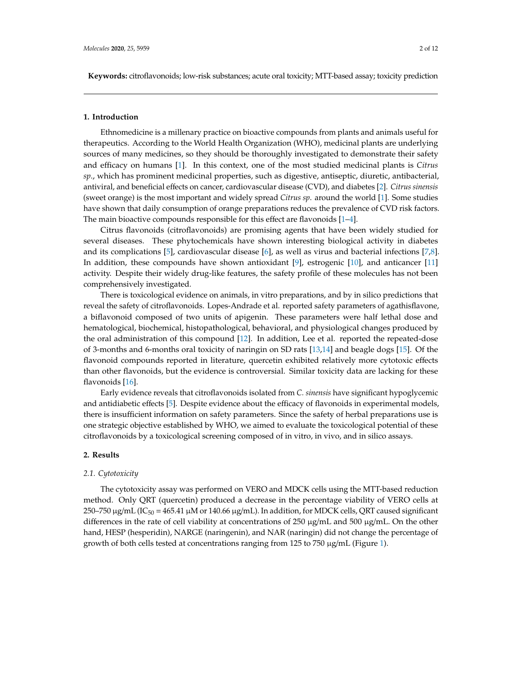# **1. Introduction**

Ethnomedicine is a millenary practice on bioactive compounds from plants and animals useful for therapeutics. According to the World Health Organization (WHO), medicinal plants are underlying sources of many medicines, so they should be thoroughly investigated to demonstrate their safety and efficacy on humans [1]. In this context, one of the most studied medicinal plants is *Citrus sp*., which has prominent medicinal properties, such as digestive, antiseptic, diuretic, antibacterial, antiviral, and beneficial effects on cancer, cardiovascular disease (CVD), and diabetes [2]. *Citrus sinensis* (sweet orange) is the most important and widely spread *Citrus sp*. around the world [1]. Some studies have shown that daily consumption of orange preparations reduces the prevalence of CVD risk factors. The main bioactive compounds responsible for this effect are flavonoids  $[1-4]$ .

Citrus flavonoids (citroflavonoids) are promising agents that have been widely studied for several diseases. These phytochemicals have shown interesting biological activity in diabetes and its complications [5], cardiovascular disease [6], as well as virus and bacterial infections [7,8]. In addition, these compounds have shown antioxidant [9], estrogenic [10], and anticancer [11] activity. Despite their widely drug-like features, the safety profile of these molecules has not been comprehensively investigated.

There is toxicological evidence on animals, in vitro preparations, and by in silico predictions that reveal the safety of citroflavonoids. Lopes-Andrade et al. reported safety parameters of agathisflavone, a biflavonoid composed of two units of apigenin. These parameters were half lethal dose and hematological, biochemical, histopathological, behavioral, and physiological changes produced by the oral administration of this compound [12]. In addition, Lee et al. reported the repeated-dose of 3-months and 6-months oral toxicity of naringin on SD rats [13,14] and beagle dogs [15]. Of the flavonoid compounds reported in literature, quercetin exhibited relatively more cytotoxic effects than other flavonoids, but the evidence is controversial. Similar toxicity data are lacking for these flavonoids [16].

Early evidence reveals that citroflavonoids isolated from *C. sinensis* have significant hypoglycemic and antidiabetic effects [5]. Despite evidence about the efficacy of flavonoids in experimental models, there is insufficient information on safety parameters. Since the safety of herbal preparations use is one strategic objective established by WHO, we aimed to evaluate the toxicological potential of these citroflavonoids by a toxicological screening composed of in vitro, in vivo, and in silico assays.

# **2. Results**

# *2.1. Cytotoxicity*

The cytotoxicity assay was performed on VERO and MDCK cells using the MTT-based reduction method. Only QRT (quercetin) produced a decrease in the percentage viability of VERO cells at 250–750 μg/mL (IC<sub>50</sub> = 465.41 μM or 140.66 μg/mL). In addition, for MDCK cells, QRT caused significant differences in the rate of cell viability at concentrations of 250  $\mu$ g/mL and 500  $\mu$ g/mL. On the other hand, HESP (hesperidin), NARGE (naringenin), and NAR (naringin) did not change the percentage of growth of both cells tested at concentrations ranging from 125 to 750 µg/mL (Figure 1).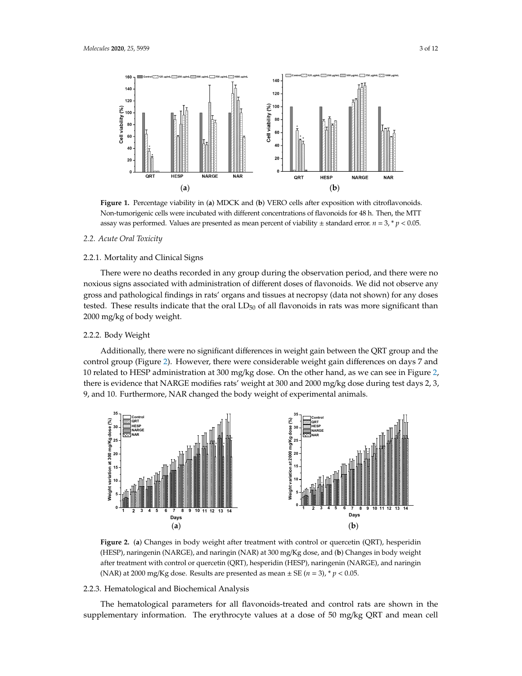

Figure 1. Percentage viability in (a) MDCK and (b) VERO cells after exposition with citroflavonoids. Non-tumorigenic cells were incubated with different concentrations of flavonoids for 48 h. Then, the MTT assay was performed. Values are presented as mean percent of viability  $\pm$  standard error.  $n = 3, * p < 0.05$ .

#### 2.2. Acute Oral Toxicity *2.2. Acute Oral Toxicity*

# *2.2. Acute Oral Toxicity*  2.2.1. Mortality and Clinical Signs 2.2.1. Mortality and Clinical Signs

2.2.1. Mortality and Clinical Signs There were no deaths recorded in any group during the observation period, and there were no There were no deaths recorded in any group during the observation period, and there were no gross and pathological findings in rats' organs and tissues at necropsy (data not shown) for any doses tested. These results indicate that the oral  $LD_{50}$  of all flavonoids in rats was more significant than any gross and pathological findings in rats' organs and tissues at necropsy (data not shown) for any 2000 mg/kg of body weight.  $\mathcal{O}$  of all flavons indicate that the oral LD50 of all flavons was more significant that the oral flavonoids in  $\mathcal{O}$ noxious signs associated with administration of different doses of flavonoids. We did not observe any doses teste paradoxes tested. These results indicates that the oral LD50 of all flavors was more significant than the oral LD50 of all flavors was more significant than the second the oral LD50 of all flavors was more sign

# 2.2.2. Body Weight

Additionally, there were no significant differences in weight gain between the QRT group and the  $\overline{R}$ 10 related to HESP administration at 300 mg/kg dose. On the other hand, as we can see in Figure 2, there is evidence that NARGE modifies rats' weight at 300 and 2000 mg/kg dose during test days 2, 3, 9, and 10. Furthermore, NAR changed the body weight of experimental animals. control group (Figure 2). However, there were considerable weight gain differences on days 7 and



(**a**) (**b**) (HESP), naringenin (NARGE), and naringin (NAR) at 300 mg/Kg dose, and (**b**) Changes in body (HESP), naringenin (NARGE), and naringin (NAR) at 300 mg/Kg dose, and (**b**) Changes in body weight after treatment with control or quercetin (QRT), hesperidin (HESP), naringenin (NARGE), and naringin (NAR) at 2000 mg/Kg dose. Results are presented as mean  $\pm$  SE ( $n = 3$ ),  $*$   $p < 0.05$ . Figure 2. (a) Changes in body weight after treatment with control or quercetin (QRT), hesperidin

# 2.2.3. Hematological and Biochemical Analysis

The hematological parameters for all flavonoids-treated and control rats are shown in the supplementary information. The erythrocyte values at a dose of 50 mg/kg QRT and mean cell

naringin (NAR) at 2000 mg/Kg dose. Results are presented as mean ± SE (*n* = 3), \* *p* < 0.05.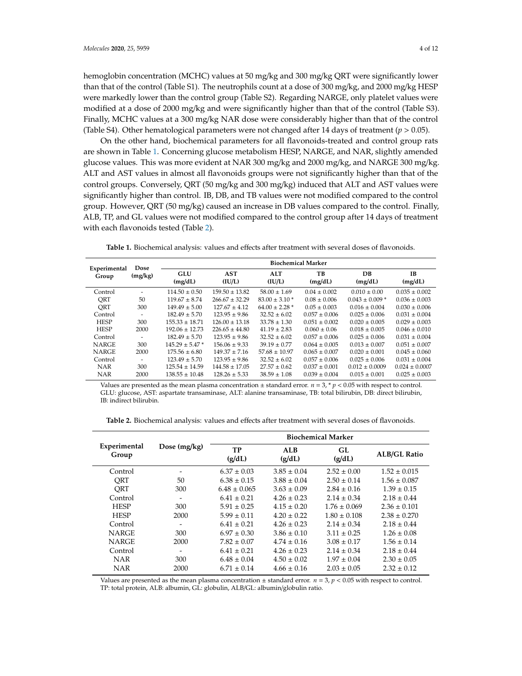hemoglobin concentration (MCHC) values at 50 mg/kg and 300 mg/kg QRT were significantly lower than that of the control (Table S1). The neutrophils count at a dose of 300 mg/kg, and 2000 mg/kg HESP were markedly lower than the control group (Table S2). Regarding NARGE, only platelet values were modified at a dose of 2000 mg/kg and were significantly higher than that of the control (Table S3). Finally, MCHC values at a 300 mg/kg NAR dose were considerably higher than that of the control (Table S4). Other hematological parameters were not changed after 14 days of treatment ( $p > 0.05$ ).

On the other hand, biochemical parameters for all flavonoids-treated and control group rats are shown in Table 1. Concerning glucose metabolism HESP, NARGE, and NAR, slightly amended glucose values. This was more evident at NAR 300 mg/kg and 2000 mg/kg, and NARGE 300 mg/kg. ALT and AST values in almost all flavonoids groups were not significantly higher than that of the control groups. Conversely, QRT (50 mg/kg and 300 mg/kg) induced that ALT and AST values were significantly higher than control. IB, DB, and TB values were not modified compared to the control group. However, QRT (50 mg/kg) caused an increase in DB values compared to the control. Finally, ALB, TP, and GL values were not modified compared to the control group after 14 days of treatment with each flavonoids tested (Table 2).

Table 1. Biochemical analysis: values and effects after treatment with several doses of flavonoids.

| Experimental | Dose<br>(mg/kg) | <b>Biochemical Marker</b> |                      |                      |                   |                    |                    |  |
|--------------|-----------------|---------------------------|----------------------|----------------------|-------------------|--------------------|--------------------|--|
| Group        |                 | <b>GLU</b><br>(mg/dL)     | <b>AST</b><br>(IU/L) | <b>ALT</b><br>(IU/L) | TВ<br>(mg/dL)     | DB<br>(mg/dL)      | TB.<br>(mg/dL)     |  |
| Control      |                 | $114.50 \pm 0.50$         | $159.50 \pm 13.82$   | $58.00 \pm 1.69$     | $0.04 \pm 0.002$  | $0.010 \pm 0.00$   | $0.035 \pm 0.002$  |  |
| ORT          | 50              | $119.67 + 8.74$           | $266.67 + 32.29$     | $83.00 + 3.10*$      | $0.08 + 0.006$    | $0.043 + 0.009$ *  | $0.036 + 0.003$    |  |
| ORT          | 300             | $149.49 \pm 5.00$         | $127.67 + 4.12$      | $64.00 + 2.28$ *     | $0.05 \pm 0.003$  | $0.016 \pm 0.004$  | $0.030 + 0.006$    |  |
| Control      |                 | $182.49 + 5.70$           | $123.95 + 9.86$      | $32.52 \pm 6.02$     | $0.057 + 0.006$   | $0.025 + 0.006$    | $0.031 + 0.004$    |  |
| <b>HESP</b>  | 300             | $155.33 + 18.71$          | $126.00 + 13.18$     | $33.78 \pm 1.30$     | $0.051 \pm 0.002$ | $0.020 \pm 0.005$  | $0.029 \pm 0.003$  |  |
| <b>HESP</b>  | 2000            | $192.06 + 12.73$          | $226.65 \pm 44.80$   | $41.19 \pm 2.83$     | $0.060 \pm 0.06$  | $0.018 \pm 0.005$  | $0.046 + 0.010$    |  |
| Control      |                 | $182.49 + 5.70$           | $123.95 + 9.86$      | $32.52 + 6.02$       | $0.057 + 0.006$   | $0.025 + 0.006$    | $0.031 + 0.004$    |  |
| <b>NARGE</b> | 300             | $145.29 + 5.47*$          | $156.06 + 9.33$      | $39.19 + 0.77$       | $0.064 + 0.005$   | $0.013 + 0.007$    | $0.051 + 0.007$    |  |
| <b>NARGE</b> | 2000            | $175.56 \pm 6.80$         | $149.37 \pm 7.16$    | $57.68 \pm 10.97$    | $0.065 \pm 0.007$ | $0.020 \pm 0.001$  | $0.045 \pm 0.060$  |  |
| Control      |                 | $123.49 + 5.70$           | $123.95 + 9.86$      | $32.52 \pm 6.02$     | $0.057 \pm 0.006$ | $0.025 + 0.006$    | $0.031 + 0.004$    |  |
| <b>NAR</b>   | 300             | $125.54 \pm 14.59$        | $144.58 \pm 17.05$   | $27.57 \pm 0.62$     | $0.037 + 0.001$   | $0.012 \pm 0.0009$ | $0.024 \pm 0.0007$ |  |
| <b>NAR</b>   | 2000            | $138.55 \pm 10.48$        | $128.26 \pm 5.33$    | $38.59 \pm 1.08$     | $0.039 \pm 0.004$ | $0.015 \pm 0.001$  | $0.025 \pm 0.003$  |  |

Values are presented as the mean plasma concentration  $\pm$  standard error.  $n = 3$ ,  $\gamma p < 0.05$  with respect to control. GLU: glucose, AST: aspartate transaminase, ALT: alanine transaminase, TB: total bilirubin, DB: direct bilirubin, IB: indirect bilirubin.

Table 2. Biochemical analysis: values and effects after treatment with several doses of flavonoids.

|                       |                          | <b>Biochemical Marker</b> |                 |                  |                     |  |
|-----------------------|--------------------------|---------------------------|-----------------|------------------|---------------------|--|
| Experimental<br>Group | Dose $(mg/kg)$           | TP<br>(g/dL)              | ALB<br>(g/dL)   | GL<br>(g/dL)     | <b>ALB/GL Ratio</b> |  |
| Control               |                          | $6.37 \pm 0.03$           | $3.85 \pm 0.04$ | $2.52 \pm 0.00$  | $1.52 \pm 0.015$    |  |
| ORT                   | 50                       | $6.38 \pm 0.15$           | $3.88 \pm 0.04$ | $2.50 \pm 0.14$  | $1.56 \pm 0.087$    |  |
| ORT                   | 300                      | $6.48 \pm 0.065$          | $3.63 \pm 0.09$ | $2.84 + 0.16$    | $1.39 \pm 0.15$     |  |
| Control               |                          | $6.41 \pm 0.21$           | $4.26 \pm 0.23$ | $2.14 \pm 0.34$  | $2.18 \pm 0.44$     |  |
| <b>HESP</b>           | 300                      | $5.91 \pm 0.25$           | $4.15 \pm 0.20$ | $1.76 \pm 0.069$ | $2.36 \pm 0.101$    |  |
| <b>HESP</b>           | 2000                     | $5.99 \pm 0.11$           | $4.20 \pm 0.22$ | $1.80 \pm 0.108$ | $2.38 \pm 0.270$    |  |
| Control               | $\overline{\phantom{a}}$ | $6.41 \pm 0.21$           | $4.26 \pm 0.23$ | $2.14 \pm 0.34$  | $2.18 \pm 0.44$     |  |
| <b>NARGE</b>          | 300                      | $6.97 \pm 0.30$           | $3.86 \pm 0.10$ | $3.11 \pm 0.25$  | $1.26 \pm 0.08$     |  |
| <b>NARGE</b>          | 2000                     | $7.82 \pm 0.07$           | $4.74 \pm 0.16$ | $3.08 \pm 0.17$  | $1.56 \pm 0.14$     |  |
| Control               | $\overline{\phantom{0}}$ | $6.41 \pm 0.21$           | $4.26 \pm 0.23$ | $2.14 \pm 0.34$  | $2.18 \pm 0.44$     |  |
| <b>NAR</b>            | 300                      | $6.48 \pm 0.04$           | $4.50 \pm 0.02$ | $1.97 \pm 0.04$  | $2.30 \pm 0.05$     |  |
| <b>NAR</b>            | 2000                     | $6.71 \pm 0.14$           | $4.66 \pm 0.16$ | $2.03 \pm 0.05$  | $2.32 \pm 0.12$     |  |

Values are presented as the mean plasma concentration ± standard error. *n* = 3, *p* < 0.05 with respect to control. TP: total protein, ALB: albumin, GL: globulin, ALB/GL: albumin/globulin ratio.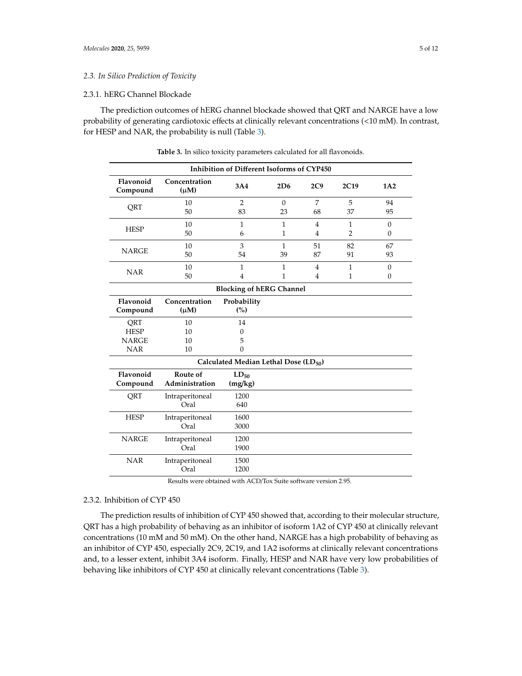# 2.3.1. hERG Channel Blockade

The prediction outcomes of hERG channel blockade showed that QRT and NARGE have a low probability of generating cardiotoxic effects at clinically relevant concentrations (<10 mM). In contrast, for HESP and NAR, the probability is null (Table 3).

| Inhibition of Different Isoforms of CYP450        |                            |                                 |                              |                                  |                                |                              |  |  |
|---------------------------------------------------|----------------------------|---------------------------------|------------------------------|----------------------------------|--------------------------------|------------------------------|--|--|
| Flavonoid<br>Compound                             | Concentration<br>$(\mu M)$ | 3A4                             | 2D6                          | 2C9                              | 2C19                           | 1A2                          |  |  |
| QRT                                               | 10<br>50                   | $\overline{2}$<br>83            | $\theta$<br>23               | 7<br>68                          | 5<br>37                        | 94<br>95                     |  |  |
| <b>HESP</b>                                       | 10<br>50                   | $\mathbf{1}$<br>6               | $\mathbf{1}$<br>$\mathbf{1}$ | $\overline{4}$<br>$\overline{4}$ | $\mathbf{1}$<br>$\overline{2}$ | $\mathbf{0}$<br>$\mathbf{0}$ |  |  |
| <b>NARGE</b>                                      | 10<br>50                   | 3<br>54                         | $\mathbf{1}$<br>39           | 51<br>87                         | 82<br>91                       | 67<br>93                     |  |  |
| <b>NAR</b>                                        | 10<br>50                   | $\mathbf{1}$<br>$\overline{4}$  | $\mathbf{1}$<br>1            | $\overline{4}$<br>$\overline{4}$ | $\mathbf{1}$<br>$\mathbf{1}$   | $\mathbf{0}$<br>$\mathbf{0}$ |  |  |
| <b>Blocking of hERG Channel</b>                   |                            |                                 |                              |                                  |                                |                              |  |  |
| Flavonoid<br>Compound                             | Concentration<br>$(\mu M)$ | Probability<br>(%)              |                              |                                  |                                |                              |  |  |
| QRT<br><b>HESP</b><br><b>NARGE</b><br><b>NAR</b>  | 10<br>10<br>10<br>10       | 14<br>$\Omega$<br>5<br>$\Omega$ |                              |                                  |                                |                              |  |  |
| Calculated Median Lethal Dose (LD <sub>50</sub> ) |                            |                                 |                              |                                  |                                |                              |  |  |
| Flavonoid<br>Compound                             | Route of<br>Administration | $LD_{50}$<br>(mg/kg)            |                              |                                  |                                |                              |  |  |
| QRT                                               | Intraperitoneal<br>Oral    | 1200<br>640                     |                              |                                  |                                |                              |  |  |
| <b>HESP</b>                                       | Intraperitoneal<br>Oral    | 1600<br>3000                    |                              |                                  |                                |                              |  |  |
| <b>NARGE</b>                                      | Intraperitoneal<br>Oral    | 1200<br>1900                    |                              |                                  |                                |                              |  |  |
| <b>NAR</b>                                        | Intraperitoneal<br>Oral    | 1500<br>1200                    |                              |                                  |                                |                              |  |  |

**Table 3.** In silico toxicity parameters calculated for all flavonoids.

Results were obtained with ACD/Tox Suite software version 2.95.

# 2.3.2. Inhibition of CYP 450

The prediction results of inhibition of CYP 450 showed that, according to their molecular structure, QRT has a high probability of behaving as an inhibitor of isoform 1A2 of CYP 450 at clinically relevant concentrations (10 mM and 50 mM). On the other hand, NARGE has a high probability of behaving as an inhibitor of CYP 450, especially 2C9, 2C19, and 1A2 isoforms at clinically relevant concentrations and, to a lesser extent, inhibit 3A4 isoform. Finally, HESP and NAR have very low probabilities of behaving like inhibitors of CYP 450 at clinically relevant concentrations (Table 3).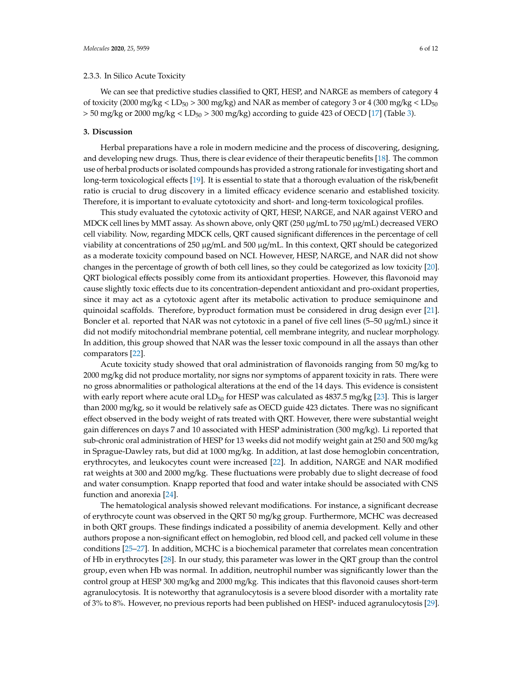#### 2.3.3. In Silico Acute Toxicity

We can see that predictive studies classified to QRT, HESP, and NARGE as members of category 4 of toxicity (2000 mg/kg  $\rm <$  LD<sub>50</sub>  $>$  300 mg/kg) and NAR as member of category 3 or 4 (300 mg/kg  $\rm <$  LD<sub>50</sub>  $>$  50 mg/kg or 2000 mg/kg  $<$  LD<sub>50</sub> $>$  300 mg/kg) according to guide 423 of OECD [17] (Table 3).

# **3. Discussion**

Herbal preparations have a role in modern medicine and the process of discovering, designing, and developing new drugs. Thus, there is clear evidence of their therapeutic benefits [18]. The common use of herbal products or isolated compounds has provided a strong rationale for investigating short and long-term toxicological effects [19]. It is essential to state that a thorough evaluation of the risk/benefit ratio is crucial to drug discovery in a limited efficacy evidence scenario and established toxicity. Therefore, it is important to evaluate cytotoxicity and short- and long-term toxicological profiles.

This study evaluated the cytotoxic activity of QRT, HESP, NARGE, and NAR against VERO and MDCK cell lines by MMT assay. As shown above, only QRT (250 µg/mL to 750 µg/mL) decreased VERO cell viability. Now, regarding MDCK cells, QRT caused significant differences in the percentage of cell viability at concentrations of 250 µg/mL and 500 µg/mL. In this context, QRT should be categorized as a moderate toxicity compound based on NCI. However, HESP, NARGE, and NAR did not show changes in the percentage of growth of both cell lines, so they could be categorized as low toxicity [20]. QRT biological effects possibly come from its antioxidant properties. However, this flavonoid may cause slightly toxic effects due to its concentration-dependent antioxidant and pro-oxidant properties, since it may act as a cytotoxic agent after its metabolic activation to produce semiquinone and quinoidal scaffolds. Therefore, byproduct formation must be considered in drug design ever [21]. Boncler et al. reported that NAR was not cytotoxic in a panel of five cell lines (5–50 µg/mL) since it did not modify mitochondrial membrane potential, cell membrane integrity, and nuclear morphology. In addition, this group showed that NAR was the lesser toxic compound in all the assays than other comparators [22].

Acute toxicity study showed that oral administration of flavonoids ranging from 50 mg/kg to 2000 mg/kg did not produce mortality, nor signs nor symptoms of apparent toxicity in rats. There were no gross abnormalities or pathological alterations at the end of the 14 days. This evidence is consistent with early report where acute oral  $LD_{50}$  for HESP was calculated as 4837.5 mg/kg [23]. This is larger than 2000 mg/kg, so it would be relatively safe as OECD guide 423 dictates. There was no significant effect observed in the body weight of rats treated with ORT. However, there were substantial weight gain differences on days 7 and 10 associated with HESP administration  $(300 \text{ mg/kg})$ . Li reported that sub-chronic oral administration of HESP for 13 weeks did not modify weight gain at 250 and 500 mg/kg in Sprague-Dawley rats, but did at 1000 mg/kg. In addition, at last dose hemoglobin concentration, erythrocytes, and leukocytes count were increased [22]. In addition, NARGE and NAR modified rat weights at 300 and 2000 mg/kg. These fluctuations were probably due to slight decrease of food and water consumption. Knapp reported that food and water intake should be associated with CNS function and anorexia [24].

The hematological analysis showed relevant modifications. For instance, a significant decrease of erythrocyte count was observed in the QRT 50 mg/kg group. Furthermore, MCHC was decreased in both QRT groups. These findings indicated a possibility of anemia development. Kelly and other authors propose a non-significant effect on hemoglobin, red blood cell, and packed cell volume in these conditions [25–27]. In addition, MCHC is a biochemical parameter that correlates mean concentration of Hb in erythrocytes [28]. In our study, this parameter was lower in the QRT group than the control group, even when Hb was normal. In addition, neutrophil number was significantly lower than the control group at HESP 300 mg/kg and 2000 mg/kg. This indicates that this flavonoid causes short-term agranulocytosis. It is noteworthy that agranulocytosis is a severe blood disorder with a mortality rate of 3% to 8%. However, no previous reports had been published on HESP- induced agranulocytosis [29].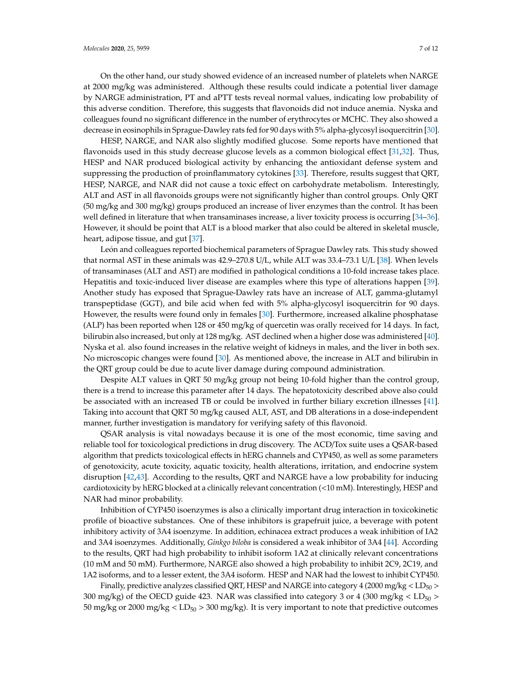On the other hand, our study showed evidence of an increased number of platelets when NARGE at 2000 mg/kg was administered. Although these results could indicate a potential liver damage by NARGE administration, PT and aPTT tests reveal normal values, indicating low probability of this adverse condition. Therefore, this suggests that flavonoids did not induce anemia. Nyska and colleagues found no significant difference in the number of erythrocytes or MCHC. They also showed a decrease in eosinophils in Sprague-Dawley rats fed for 90 days with 5% alpha-glycosyl isoquercitrin [30].

HESP, NARGE, and NAR also slightly modified glucose. Some reports have mentioned that flavonoids used in this study decrease glucose levels as a common biological effect  $[31,32]$ . Thus, HESP and NAR produced biological activity by enhancing the antioxidant defense system and suppressing the production of proinflammatory cytokines [33]. Therefore, results suggest that QRT, HESP, NARGE, and NAR did not cause a toxic effect on carbohydrate metabolism. Interestingly, ALT and AST in all flavonoids groups were not significantly higher than control groups. Only QRT (50 mg/kg and 300 mg/kg) groups produced an increase of liver enzymes than the control. It has been well defined in literature that when transaminases increase, a liver toxicity process is occurring [34–36]. However, it should be point that ALT is a blood marker that also could be altered in skeletal muscle, heart, adipose tissue, and gut [37].

León and colleagues reported biochemical parameters of Sprague Dawley rats. This study showed that normal AST in these animals was 42.9–270.8 U/L, while ALT was 33.4–73.1 U/L [38]. When levels of transaminases (ALT and AST) are modified in pathological conditions a 10-fold increase takes place. Hepatitis and toxic-induced liver disease are examples where this type of alterations happen [39]. Another study has exposed that Sprague-Dawley rats have an increase of ALT, gamma-glutamyl transpeptidase (GGT), and bile acid when fed with 5% alpha-glycosyl isoquercitrin for 90 days. However, the results were found only in females [30]. Furthermore, increased alkaline phosphatase (ALP) has been reported when 128 or 450 mg/kg of quercetin was orally received for 14 days. In fact, bilirubin also increased, but only at 128 mg/kg. AST declined when a higher dose was administered [40]. Nyska et al. also found increases in the relative weight of kidneys in males, and the liver in both sex. No microscopic changes were found [30]. As mentioned above, the increase in ALT and bilirubin in the QRT group could be due to acute liver damage during compound administration.

Despite ALT values in QRT 50 mg/kg group not being 10-fold higher than the control group, there is a trend to increase this parameter after 14 days. The hepatotoxicity described above also could be associated with an increased TB or could be involved in further biliary excretion illnesses [41]. Taking into account that QRT 50 mg/kg caused ALT, AST, and DB alterations in a dose-independent manner, further investigation is mandatory for verifying safety of this flavonoid.

QSAR analysis is vital nowadays because it is one of the most economic, time saving and reliable tool for toxicological predictions in drug discovery. The ACD/Tox suite uses a QSAR-based algorithm that predicts toxicological effects in hERG channels and CYP450, as well as some parameters of genotoxicity, acute toxicity, aquatic toxicity, health alterations, irritation, and endocrine system disruption [42,43]. According to the results, QRT and NARGE have a low probability for inducing cardiotoxicity by hERG blocked at a clinically relevant concentration (<10 mM). Interestingly, HESP and NAR had minor probability.

Inhibition of CYP450 isoenzymes is also a clinically important drug interaction in toxicokinetic profile of bioactive substances. One of these inhibitors is grapefruit juice, a beverage with potent inhibitory activity of 3A4 isoenzyme. In addition, echinacea extract produces a weak inhibition of IA2 and 3A4 isoenzymes. Additionally, *Ginkgo biloba* is considered a weak inhibitor of 3A4 [44]. According to the results, QRT had high probability to inhibit isoform 1A2 at clinically relevant concentrations (10 mM and 50 mM). Furthermore, NARGE also showed a high probability to inhibit 2C9, 2C19, and 1A2 isoforms, and to a lesser extent, the 3A4 isoform. HESP and NAR had the lowest to inhibit CYP450.

Finally, predictive analyzes classified QRT, HESP and NARGE into category 4 (2000 mg/kg  $\lt$  LD<sub>50</sub>  $>$ 300 mg/kg) of the OECD guide 423. NAR was classified into category 3 or 4 (300 mg/kg  $\lt$  LD<sub>50</sub>  $>$ 50 mg/kg or 2000 mg/kg  $\langle$  LD<sub>50</sub>  $>$  300 mg/kg). It is very important to note that predictive outcomes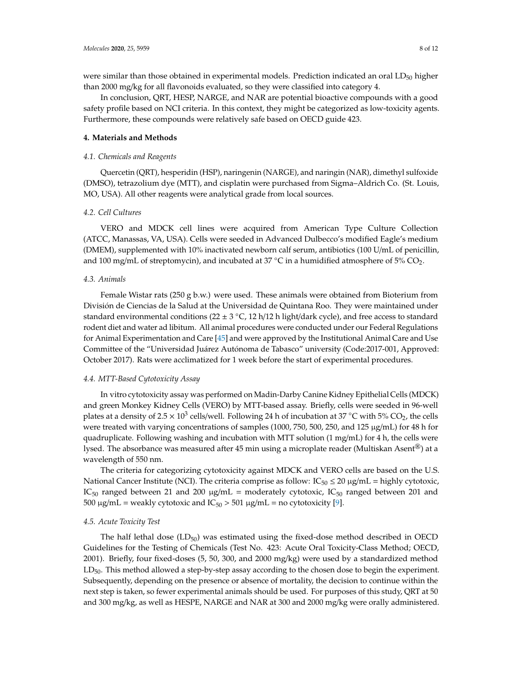were similar than those obtained in experimental models. Prediction indicated an oral  $LD_{50}$  higher than 2000 mg/kg for all flavonoids evaluated, so they were classified into category 4.

In conclusion, QRT, HESP, NARGE, and NAR are potential bioactive compounds with a good safety profile based on NCI criteria. In this context, they might be categorized as low-toxicity agents. Furthermore, these compounds were relatively safe based on OECD guide 423.

## **4. Materials and Methods**

# *4.1. Chemicals and Reagents*

Quercetin (QRT), hesperidin (HSP), naringenin (NARGE), and naringin (NAR), dimethyl sulfoxide (DMSO), tetrazolium dye (MTT), and cisplatin were purchased from Sigma–Aldrich Co. (St. Louis, MO, USA). All other reagents were analytical grade from local sources.

# *4.2. Cell Cultures*

VERO and MDCK cell lines were acquired from American Type Culture Collection (ATCC, Manassas, VA, USA). Cells were seeded in Advanced Dulbecco's modified Eagle's medium (DMEM), supplemented with 10% inactivated newborn calf serum, antibiotics (100 U/mL of penicillin, and 100 mg/mL of streptomycin), and incubated at 37  $^{\circ}$ C in a humidified atmosphere of 5% CO<sub>2</sub>.

## *4.3. Animals*

Female Wistar rats (250 g b.w.) were used. These animals were obtained from Bioterium from División de Ciencias de la Salud at the Universidad de Quintana Roo. They were maintained under standard environmental conditions (22  $\pm$  3 °C, 12 h/12 h light/dark cycle), and free access to standard rodent diet and water ad libitum. All animal procedures were conducted under our Federal Regulations for Animal Experimentation and Care [45] and were approved by the Institutional Animal Care and Use Committee of the "Universidad Juárez Autónoma de Tabasco" university (Code:2017-001, Approved: October 2017). Rats were acclimatized for 1 week before the start of experimental procedures.

## *4.4. MTT-Based Cytotoxicity Assay*

In vitro cytotoxicity assay was performed on Madin-Darby Canine Kidney Epithelial Cells (MDCK) and green Monkey Kidney Cells (VERO) by MTT-based assay. Briefly, cells were seeded in 96-well plates at a density of  $2.5 \times 10^3$  cells/well. Following 24 h of incubation at 37 °C with 5% CO<sub>2</sub>, the cells were treated with varying concentrations of samples (1000, 750, 500, 250, and 125 µg/mL) for 48 h for quadruplicate. Following washing and incubation with MTT solution  $(1 \text{ mg/mL})$  for 4 h, the cells were lysed. The absorbance was measured after 45 min using a microplate reader (Multiskan Asent<sup>®</sup>) at a wavelength of 550 nm.

The criteria for categorizing cytotoxicity against MDCK and VERO cells are based on the U.S. National Cancer Institute (NCI). The criteria comprise as follow:  $IC_{50} \leq 20 \mu g/mL =$  highly cytotoxic, IC<sub>50</sub> ranged between 21 and 200  $\mu$ g/mL = moderately cytotoxic, IC<sub>50</sub> ranged between 201 and 500  $\mu$ g/mL = weakly cytotoxic and IC<sub>50</sub> > 501  $\mu$ g/mL = no cytotoxicity [9].

#### *4.5. Acute Toxicity Test*

The half lethal dose  $(LD_{50})$  was estimated using the fixed-dose method described in OECD Guidelines for the Testing of Chemicals (Test No. 423: Acute Oral Toxicity-Class Method; OECD, 2001). Briefly, four fixed-doses (5, 50, 300, and 2000 mg/kg) were used by a standardized method LD<sub>50</sub>. This method allowed a step-by-step assay according to the chosen dose to begin the experiment. Subsequently, depending on the presence or absence of mortality, the decision to continue within the next step is taken, so fewer experimental animals should be used. For purposes of this study, QRT at 50 and 300 mg/kg, as well as HESPE, NARGE and NAR at 300 and 2000 mg/kg were orally administered.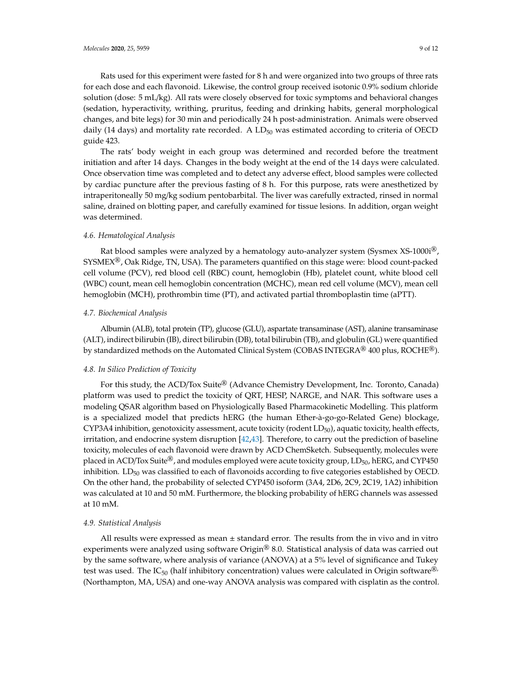Rats used for this experiment were fasted for 8 h and were organized into two groups of three rats for each dose and each flavonoid. Likewise, the control group received isotonic 0.9% sodium chloride solution (dose: 5 mL/kg). All rats were closely observed for toxic symptoms and behavioral changes (sedation, hyperactivity, writhing, pruritus, feeding and drinking habits, general morphological changes, and bite legs) for 30 min and periodically 24 h post-administration. Animals were observed daily (14 days) and mortality rate recorded. A  $LD_{50}$  was estimated according to criteria of OECD guide 423.

The rats' body weight in each group was determined and recorded before the treatment initiation and after 14 days. Changes in the body weight at the end of the 14 days were calculated. Once observation time was completed and to detect any adverse effect, blood samples were collected by cardiac puncture after the previous fasting of 8 h. For this purpose, rats were anesthetized by intraperitoneally 50 mg/kg sodium pentobarbital. The liver was carefully extracted, rinsed in normal saline, drained on blotting paper, and carefully examined for tissue lesions. In addition, organ weight was determined.

## *4.6. Hematological Analysis*

Rat blood samples were analyzed by a hematology auto-analyzer system (Sysmex  $XS-1000i^{(8)}$ ) SYSMEX®, Oak Ridge, TN, USA). The parameters quantified on this stage were: blood count-packed cell volume (PCV), red blood cell (RBC) count, hemoglobin (Hb), platelet count, white blood cell (WBC) count, mean cell hemoglobin concentration (MCHC), mean red cell volume (MCV), mean cell hemoglobin (MCH), prothrombin time (PT), and activated partial thromboplastin time (aPTT).

# *4.7. Biochemical Analysis*

Albumin (ALB), total protein (TP), glucose (GLU), aspartate transaminase (AST), alanine transaminase (ALT), indirect bilirubin (IB), direct bilirubin (DB), total bilirubin (TB), and globulin (GL) were quantified by standardized methods on the Automated Clinical System (COBAS INTEGRA<sup>®</sup> 400 plus, ROCHE<sup>®</sup>).

#### *4.8. In Silico Prediction of Toxicity*

For this study, the ACD/Tox Suite® (Advance Chemistry Development, Inc. Toronto, Canada) platform was used to predict the toxicity of QRT, HESP, NARGE, and NAR. This software uses a modeling QSAR algorithm based on Physiologically Based Pharmacokinetic Modelling. This platform is a specialized model that predicts hERG (the human Ether-à-go-go-Related Gene) blockage, CYP3A4 inhibition, genotoxicity assessment, acute toxicity (rodent  $LD_{50}$ ), aquatic toxicity, health effects, irritation, and endocrine system disruption [42,43]. Therefore, to carry out the prediction of baseline toxicity, molecules of each flavonoid were drawn by ACD ChemSketch. Subsequently, molecules were placed in ACD/Tox Suite<sup>®</sup>, and modules employed were acute toxicity group, LD<sub>50</sub>, hERG, and CYP450 inhibition.  $LD_{50}$  was classified to each of flavonoids according to five categories established by OECD. On the other hand, the probability of selected CYP450 isoform (3A4, 2D6, 2C9, 2C19, 1A2) inhibition was calculated at 10 and 50 mM. Furthermore, the blocking probability of hERG channels was assessed at 10 mM.

#### *4.9. Statistical Analysis*

All results were expressed as mean  $\pm$  standard error. The results from the in vivo and in vitro experiments were analyzed using software  $\text{Origin}^{\circledR}$  8.0. Statistical analysis of data was carried out by the same software, where analysis of variance (ANOVA) at a 5% level of significance and Tukey test was used. The  $IC_{50}$  (half inhibitory concentration) values were calculated in Origin software<sup>®,</sup> (Northampton, MA, USA) and one-way ANOVA analysis was compared with cisplatin as the control.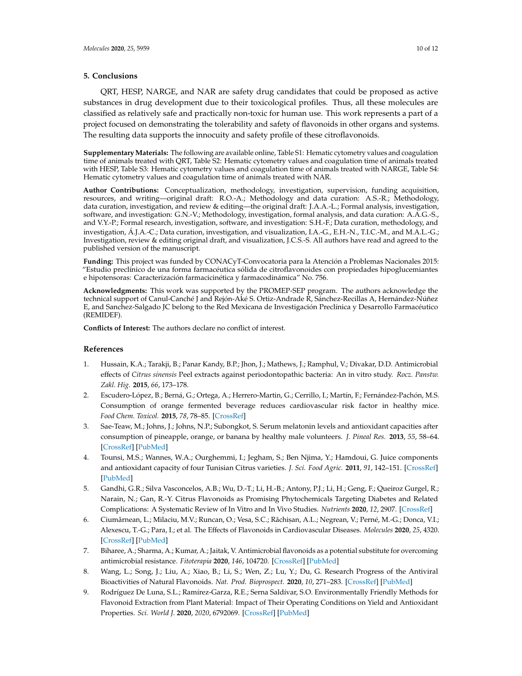## **5. Conclusions**

QRT, HESP, NARGE, and NAR are safety drug candidates that could be proposed as active substances in drug development due to their toxicological profiles. Thus, all these molecules are classified as relatively safe and practically non-toxic for human use. This work represents a part of a project focused on demonstrating the tolerability and safety of flavonoids in other organs and systems. The resulting data supports the innocuity and safety profile of these citroflavonoids.

**Supplementary Materials:** The following are available online, Table S1: Hematic cytometry values and coagulation time of animals treated with QRT, Table S2: Hematic cytometry values and coagulation time of animals treated with HESP, Table S3: Hematic cytometry values and coagulation time of animals treated with NARGE, Table S4: Hematic cytometry values and coagulation time of animals treated with NAR.

**Author Contributions:** Conceptualization, methodology, investigation, supervision, funding acquisition, resources, and writing—original draft: R.O.-A.; Methodology and data curation: A.S.-R.; Methodology, data curation, investigation, and review & editing—the original draft: J.A.A.-L.; Formal analysis, investigation, software, and investigation: G.N.-V.; Methodology, investigation, formal analysis, and data curation: A.A.G.-S., and V.Y.-P.; Formal research, investigation, software, and investigation: S.H.-F.; Data curation, methodology, and investigation, Á.J.A.-C.; Data curation, investigation, and visualization, I.A.-G., E.H.-N., T.I.C.-M., and M.A.L.-G.; Investigation, review & editing original draft, and visualization, J.C.S.-S. All authors have read and agreed to the published version of the manuscript.

**Funding:** This project was funded by CONACyT-Convocatoria para la Atención a Problemas Nacionales 2015: "Estudio preclínico de una forma farmacéutica sólida de citroflavonoides con propiedades hipoglucemiantes e hipotensoras: Caracterización farmacicinética y farmacodinámica" No. 756.

**Acknowledgments:** This work was supported by the PROMEP-SEP program. The authors acknowledge the technical support of Canul-Canché J and Rejón-Aké S. Ortiz-Andrade R, Sánchez-Recillas A, Hernández-Núñez E, and Sanchez-Salgado JC belong to the Red Mexicana de Investigación Preclínica y Desarrollo Farmacéutico (REMIDEF).

**Conflicts of Interest:** The authors declare no conflict of interest.

#### **References**

- 1. Hussain, K.A.; Tarakji, B.; Panar Kandy, B.P.; Jhon, J.; Mathews, J.; Ramphul, V.; Divakar, D.D. Antimicrobial effects of *Citrus sinensis* Peel extracts against periodontopathic bacteria: An in vitro study. *Rocz. Panstw. Zakl. Hig.* **2015**, *66*, 173–178.
- 2. Escudero-López, B.; Berná, G.; Ortega, A.; Herrero-Martin, G.; Cerrillo, I.; Martín, F.; Fernández-Pachón, M.S. Consumption of orange fermented beverage reduces cardiovascular risk factor in healthy mice. *Food Chem. Toxicol.* **2015**, *78*, 78–85. [CrossRef]
- 3. Sae-Teaw, M.; Johns, J.; Johns, N.P.; Subongkot, S. Serum melatonin levels and antioxidant capacities after consumption of pineapple, orange, or banana by healthy male volunteers. *J. Pineal Res.* **2013**, *55*, 58–64. [CrossRef] [PubMed]
- 4. Tounsi, M.S.; Wannes, W.A.; Ourghemmi, I.; Jegham, S.; Ben Njima, Y.; Hamdoui, G. Juice components and antioxidant capacity of four Tunisian Citrus varieties. *J. Sci. Food Agric.* **2011**, *91*, 142–151. [CrossRef] [PubMed]
- 5. Gandhi, G.R.; Silva Vasconcelos, A.B.; Wu, D.-T.; Li, H.-B.; Antony, P.J.; Li, H.; Geng, F.; Queiroz Gurgel, R.; Narain, N.; Gan, R.-Y. Citrus Flavonoids as Promising Phytochemicals Targeting Diabetes and Related Complications: A Systematic Review of In Vitro and In Vivo Studies. *Nutrients* **2020**, *12*, 2907. [CrossRef]
- 6. Ciumărnean, L.; Milaciu, M.V.; Runcan, O.; Vesa, S.C.; Răchișan, A.L.; Negrean, V.; Perné, M.-G.; Donca, V.I.; Alexescu, T.-G.; Para, I.; et al. The Effects of Flavonoids in Cardiovascular Diseases. *Molecules* 2020, 25, 4320. [CrossRef] [PubMed]
- 7. Biharee, A.; Sharma, A.; Kumar, A.; Jaitak, V. Antimicrobial flavonoids as a potential substitute for overcoming antimicrobial resistance. *Fitoterapia* **2020**, *146*, 104720. [CrossRef] [PubMed]
- 8. Wang, L.; Song, J.; Liu, A.; Xiao, B.; Li, S.; Wen, Z.; Lu, Y.; Du, G. Research Progress of the Antiviral Bioactivities of Natural Flavonoids. *Nat. Prod. Bioprospect.* **2020**, *10*, 271–283. [CrossRef] [PubMed]
- 9. Rodríguez De Luna, S.L.; Ramírez-Garza, R.E.; Serna Saldívar, S.O. Environmentally Friendly Methods for Flavonoid Extraction from Plant Material: Impact of Their Operating Conditions on Yield and Antioxidant Properties. *Sci. World J.* **2020**, *2020*, 6792069. [CrossRef] [PubMed]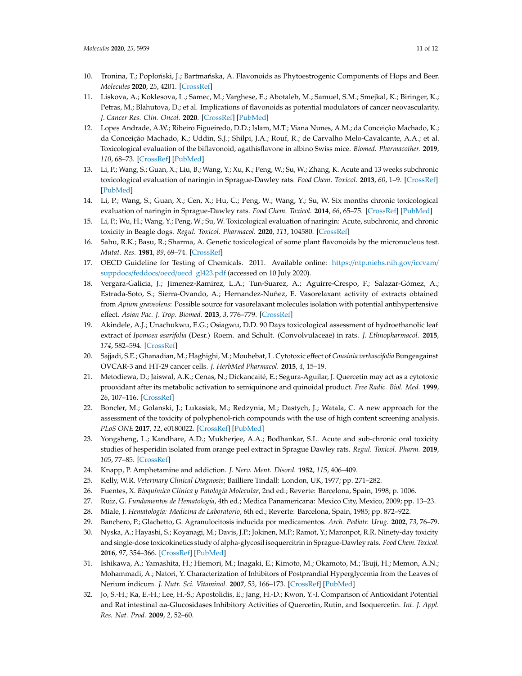- 10. Tronina, T.; Popłoński, J.; Bartmańska, A. Flavonoids as Phytoestrogenic Components of Hops and Beer. *Molecules* **2020**, *25*, 4201. [CrossRef]
- 11. Liskova, A.; Koklesova, L.; Samec, M.; Varghese, E.; Abotaleb, M.; Samuel, S.M.; Smejkal, K.; Biringer, K.; Petras, M.; Blahutova, D.; et al. Implications of flavonoids as potential modulators of cancer neovascularity. *J. Cancer Res. Clin. Oncol.* **2020**. [CrossRef] [PubMed]
- 12. Lopes Andrade, A.W.; Ribeiro Figueiredo, D.D.; Islam, M.T.; Viana Nunes, A.M.; da Conceição Machado, K.; da Conceição Machado, K.; Uddin, S.J.; Shilpi, J.A.; Rouf, R.; de Carvalho Melo-Cavalcante, A.A.; et al. Toxicological evaluation of the biflavonoid, agathisflavone in albino Swiss mice. *Biomed. Pharmacother.* **2019**, *110*, 68–73. [CrossRef] [PubMed]
- 13. Li, P.; Wang, S.; Guan, X.; Liu, B.; Wang, Y.; Xu, K.; Peng, W.; Su, W.; Zhang, K. Acute and 13 weeks subchronic toxicological evaluation of naringin in Sprague-Dawley rats. *Food Chem. Toxicol.* **2013**, *60*, 1–9. [CrossRef] [PubMed]
- 14. Li, P.; Wang, S.; Guan, X.; Cen, X.; Hu, C.; Peng, W.; Wang, Y.; Su, W. Six months chronic toxicological evaluation of naringin in Sprague-Dawley rats. *Food Chem. Toxicol.* **2014**, *66*, 65–75. [CrossRef] [PubMed]
- 15. Li, P.; Wu, H.; Wang, Y.; Peng, W.; Su, W. Toxicological evaluation of naringin: Acute, subchronic, and chronic toxicity in Beagle dogs. *Regul. Toxicol. Pharmacol.* **2020**, *111*, 104580. [CrossRef]
- 16. Sahu, R.K.; Basu, R.; Sharma, A. Genetic toxicological of some plant flavonoids by the micronucleus test. *Mutat. Res.* **1981**, *89*, 69–74. [CrossRef]
- 17. OECD Guideline for Testing of Chemicals. 2011. Available online: https://ntp.niehs.nih.gov/iccvam/ suppdocs/feddocs/oecd/oecd\_gl423.pdf (accessed on 10 July 2020).
- 18. Vergara-Galicia, J.; Jimenez-Ramirez, L.A.; Tun-Suarez, A.; Aguirre-Crespo, F.; Salazar-Gómez, A.; Estrada-Soto, S.; Sierra-Ovando, A.; Hernandez-Nuñez, E. Vasorelaxant activity of extracts obtained from *Apium graveolens*: Possible source for vasorelaxant molecules isolation with potential antihypertensive effect. Asian Pac. J. Trop. Biomed. 2013, 3, 776–779. [CrossRef]
- 19. Akindele, A.J.; Unachukwu, E.G.; Osiagwu, D.D. 90 Days toxicological assessment of hydroethanolic leaf extract of *Ipomoea asarifolia* (Desr.) Roem. and Schult. (Convolvulaceae) in rats. *J. Ethnopharmacol.* **2015**, *174*, 582–594. [CrossRef]
- 20. Sajjadi, S.E.; Ghanadian, M.; Haghighi, M.; Mouhebat, L. Cytotoxic effect of *Cousinia verbascifolia* Bungeagainst OVCAR-3 and HT-29 cancer cells. *J. HerbMed Pharmacol.* **2015**, *4*, 15–19.
- 21. Metodiewa, D.; Jaiswal, A.K.; Cenas, N.; Dickancaité, E.; Segura-Aguilar, J. Quercetin may act as a cytotoxic prooxidant after its metabolic activation to semiquinone and quinoidal product. *Free Radic. Biol. Med.* **1999**, *26*, 107–116. [CrossRef]
- 22. Boncler, M.; Golanski, J.; Lukasiak, M.; Redzynia, M.; Dastych, J.; Watala, C. A new approach for the assessment of the toxicity of polyphenol-rich compounds with the use of high content screening analysis. *PLoS ONE* **2017**, *12*, e0180022. [CrossRef] [PubMed]
- 23. Yongsheng, L.; Kandhare, A.D.; Mukherjee, A.A.; Bodhankar, S.L. Acute and sub-chronic oral toxicity studies of hesperidin isolated from orange peel extract in Sprague Dawley rats. *Regul. Toxicol. Pharm.* **2019**, *105*, 77–85. [CrossRef]
- 24. Knapp, P. Amphetamine and addiction. *J. Nerv. Ment. Disord.* **1952**, *115*, 406–409.
- 25. Kelly, W.R. *Veterinary Clinical Diagnosis*; Bailliere Tindall: London, UK, 1977; pp. 271–282.
- 26. Fuentes, X. *Bioquímica Clínica y Patología Molecular*, 2nd ed.; Reverte: Barcelona, Spain, 1998; p. 1006.
- 27. Ruiz, G. *Fundamentos de Hematología*, 4th ed.; Medica Panamericana: Mexico City, Mexico, 2009; pp. 13–23.
- 28. Miale, J. *Hematología: Medicina de Laboratorio*, 6th ed.; Reverte: Barcelona, Spain, 1985; pp. 872–922.
- 29. Banchero, P.; Glachetto, G. Agranulocitosis inducida por medicamentos. *Arch. Pediatr. Urug.* **2002**, *73*, 76–79.
- 30. Nyska, A.; Hayashi, S.; Koyanagi, M.; Davis, J.P.; Jokinen, M.P.; Ramot, Y.; Maronpot, R.R. Ninety-day toxicity and single-dose toxicokinetics study of alpha-glycosil isoquercitrin in Sprague-Dawley rats. *Food Chem. Toxicol.* **2016**, *97*, 354–366. [CrossRef] [PubMed]
- 31. Ishikawa, A.; Yamashita, H.; Hiemori, M.; Inagaki, E.; Kimoto, M.; Okamoto, M.; Tsuji, H.; Memon, A.N.; Mohammadi, A.; Natori, Y. Characterization of Inhibitors of Postprandial Hyperglycemia from the Leaves of Nerium indicum. *J. Nutr. Sci. Vitaminol.* **2007**, *53*, 166–173. [CrossRef] [PubMed]
- 32. Jo, S.-H.; Ka, E.-H.; Lee, H.-S.; Apostolidis, E.; Jang, H.-D.; Kwon, Y.-I. Comparison of Antioxidant Potential and Rat intestinal αa-Glucosidases Inhibitory Activities of Quercetin, Rutin, and Isoquercetin. *Int. J. Appl. Res. Nat. Prod.* **2009**, *2*, 52–60.